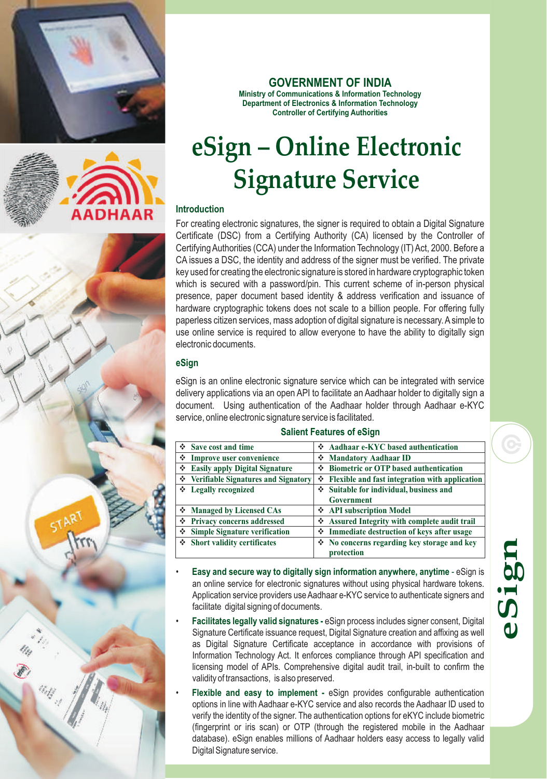



 $\frac{d\eta}{dt} \frac{d\eta}{dt}$ 

### **GOVERNMENT OF INDIA**

**Ministry of Communications & Information Technology Department of Electronics & Information Technology Controller of Certifying Authorities**

# **eSign – Online Electronic Signature Service**

#### **Introduction**

For creating electronic signatures, the signer is required to obtain a Digital Signature Certificate (DSC) from a Certifying Authority (CA) licensed by the Controller of Certifying Authorities (CCA) under the Information Technology (IT) Act, 2000. Before a CA issues a DSC, the identity and address of the signer must be verified. The private key used for creating the electronic signature is stored in hardware cryptographic token which is secured with a password/pin. This current scheme of in-person physical presence, paper document based identity & address verification and issuance of hardware cryptographic tokens does not scale to a billion people. For offering fully paperless citizen services, mass adoption of digital signature is necessary. Asimple to use online service is required to allow everyone to have the ability to digitally sign electronic documents.

#### **eSign**

eSign is an online electronic signature service which can be integrated with service delivery applications via an open API to facilitate an Aadhaar holder to digitally sign a document. Using authentication of the Aadhaar holder through Aadhaar e-KYC service, online electronic signature service is facilitated.

#### **Salient Features of eSign**

|   | $\div$ Save cost and time             |   | Aadhaar e-KYC based authentication                   |
|---|---------------------------------------|---|------------------------------------------------------|
| ❖ | Improve user convenience              |   | Mandatory Aadhaar ID                                 |
| ❖ | <b>Easily apply Digital Signature</b> |   | <b>Biometric or OTP based authentication</b>         |
|   | ❖ Verifiable Signatures and Signatory | ❖ | Flexible and fast integration with application       |
|   | ❖ Legally recognized                  |   | Suitable for individual, business and                |
|   |                                       |   | <b>Government</b>                                    |
|   | ❖ Managed by Licensed CAs             |   | ❖ API subscription Model                             |
| ❖ | <b>Privacy concerns addressed</b>     |   | ❖ Assured Integrity with complete audit trail        |
| ❖ | <b>Simple Signature verification</b>  |   | ❖ Immediate destruction of keys after usage          |
|   | ❖ Short validity certificates         |   | $\lozenge$ No concerns regarding key storage and key |
|   |                                       |   | protection                                           |

- **Easy and secure way to digitally sign information anywhere, anytime eSign is** an online service for electronic signatures without using physical hardware tokens. Application service providers use Aadhaar e-KYC service to authenticate signers and facilitate digital signing of documents.
- **Facilitates legally valid signatures -** eSign process includes signer consent, Digital Signature Certificate issuance request, Digital Signature creation and affixing as well as Digital Signature Certificate acceptance in accordance with provisions of Information Technology Act. It enforces compliance through API specification and licensing model of APIs. Comprehensive digital audit trail, in-built to confirm the validity of transactions, is also preserved.
- **•** Flexible and easy to implement eSign provides configurable authentication options in line with Aadhaar e-KYC service and also records the Aadhaar ID used to verify the identity of the signer. The authentication options for eKYC include biometric (fingerprint or iris scan) or OTP (through the registered mobile in the Aadhaar database). eSign enables millions of Aadhaar holders easy access to legally valid Digital Signature service.

# **eS ign**